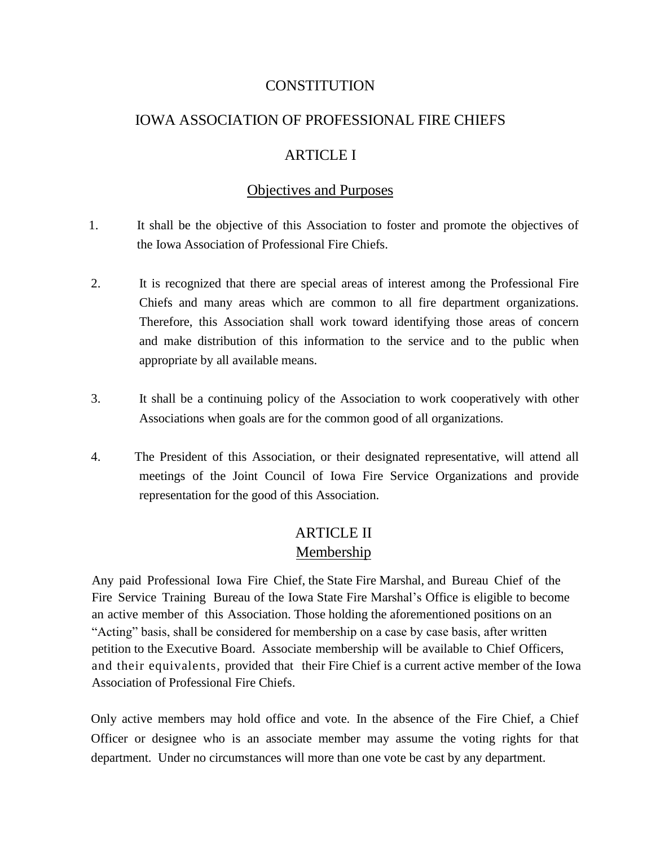### **CONSTITUTION**

### IOWA ASSOCIATION OF PROFESSIONAL FIRE CHIEFS

### ARTICLE I

### Objectives and Purposes

- 1. It shall be the objective of this Association to foster and promote the objectives of the Iowa Association of Professional Fire Chiefs.
- 2. It is recognized that there are special areas of interest among the Professional Fire Chiefs and many areas which are common to all fire department organizations. Therefore, this Association shall work toward identifying those areas of concern and make distribution of this information to the service and to the public when appropriate by all available means.
- 3. It shall be a continuing policy of the Association to work cooperatively with other Associations when goals are for the common good of all organizations.
- 4. The President of this Association, or their designated representative, will attend all meetings of the Joint Council of Iowa Fire Service Organizations and provide representation for the good of this Association.

## ARTICLE II Membership

Any paid Professional Iowa Fire Chief, the State Fire Marshal, and Bureau Chief of the Fire Service Training Bureau of the Iowa State Fire Marshal's Office is eligible to become an active member of this Association. Those holding the aforementioned positions on an "Acting" basis, shall be considered for membership on a case by case basis, after written petition to the Executive Board. Associate membership will be available to Chief Officers, and their equivalents, provided that their Fire Chief is a current active member of the Iowa Association of Professional Fire Chiefs.

Only active members may hold office and vote. In the absence of the Fire Chief, a Chief Officer or designee who is an associate member may assume the voting rights for that department. Under no circumstances will more than one vote be cast by any department.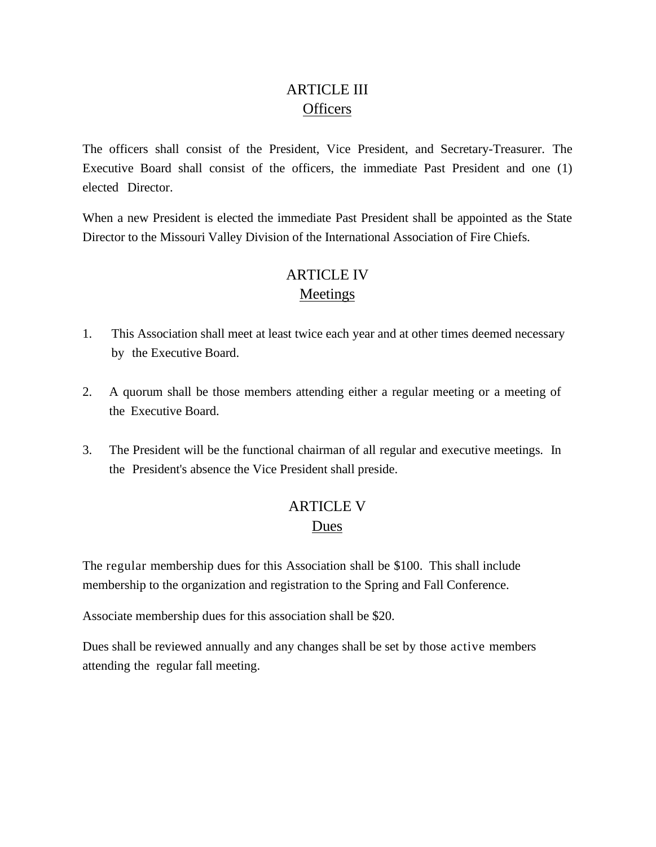# ARTICLE III **Officers**

The officers shall consist of the President, Vice President, and Secretary-Treasurer. The Executive Board shall consist of the officers, the immediate Past President and one (1) elected Director.

When a new President is elected the immediate Past President shall be appointed as the State Director to the Missouri Valley Division of the International Association of Fire Chiefs.

# ARTICLE IV Meetings

- 1. This Association shall meet at least twice each year and at other times deemed necessary by the Executive Board.
- 2. A quorum shall be those members attending either a regular meeting or a meeting of the Executive Board.
- 3. The President will be the functional chairman of all regular and executive meetings. In the President's absence the Vice President shall preside.

# ARTICLE V Dues

The regular membership dues for this Association shall be \$100. This shall include membership to the organization and registration to the Spring and Fall Conference.

Associate membership dues for this association shall be \$20.

Dues shall be reviewed annually and any changes shall be set by those active members attending the regular fall meeting.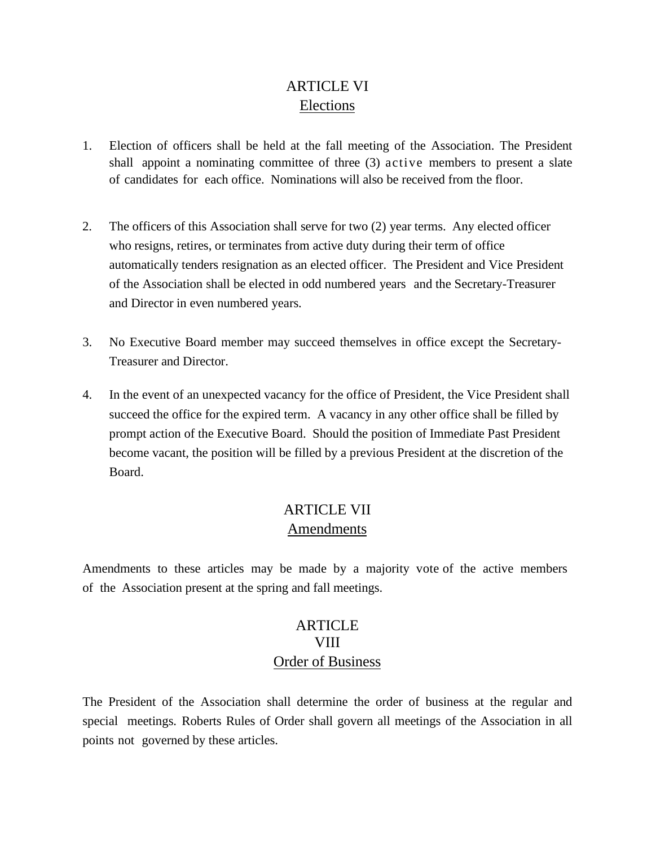# ARTICLE VI Elections

- 1. Election of officers shall be held at the fall meeting of the Association. The President shall appoint a nominating committee of three (3) active members to present a slate of candidates for each office. Nominations will also be received from the floor.
- 2. The officers of this Association shall serve for two (2) year terms. Any elected officer who resigns, retires, or terminates from active duty during their term of office automatically tenders resignation as an elected officer. The President and Vice President of the Association shall be elected in odd numbered years and the Secretary-Treasurer and Director in even numbered years.
- 3. No Executive Board member may succeed themselves in office except the Secretary-Treasurer and Director.
- 4. In the event of an unexpected vacancy for the office of President, the Vice President shall succeed the office for the expired term. A vacancy in any other office shall be filled by prompt action of the Executive Board. Should the position of Immediate Past President become vacant, the position will be filled by a previous President at the discretion of the Board.

# ARTICLE VII Amendments

Amendments to these articles may be made by a majority vote of the active members of the Association present at the spring and fall meetings.

# ARTICLE VIII Order of Business

The President of the Association shall determine the order of business at the regular and special meetings. Roberts Rules of Order shall govern all meetings of the Association in all points not governed by these articles.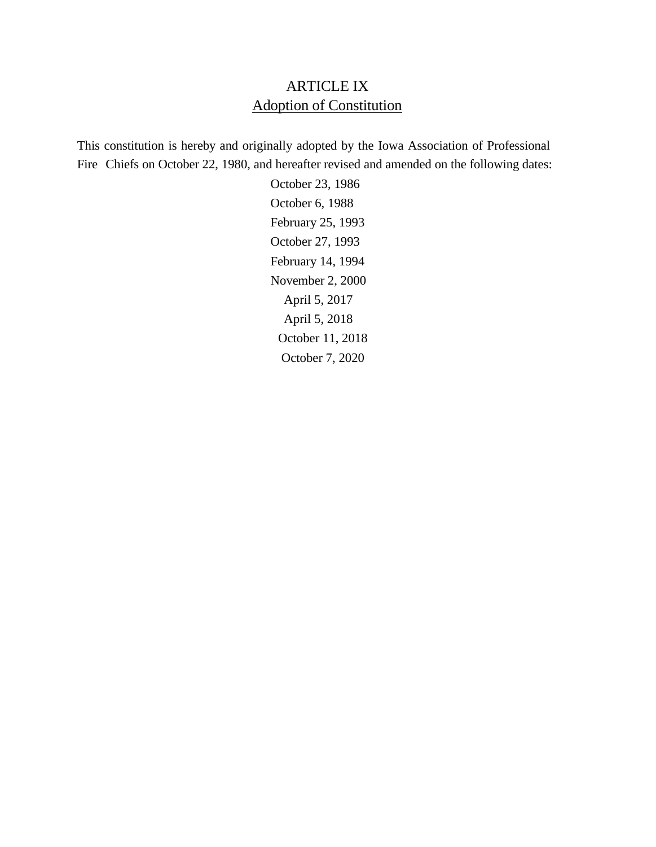# ARTICLE IX Adoption of Constitution

This constitution is hereby and originally adopted by the Iowa Association of Professional Fire Chiefs on October 22, 1980, and hereafter revised and amended on the following dates:

> October 23, 1986 October 6, 1988 February 25, 1993 October 27, 1993 February 14, 1994 November 2, 2000 April 5, 2017 April 5, 2018 October 11, 2018 October 7, 2020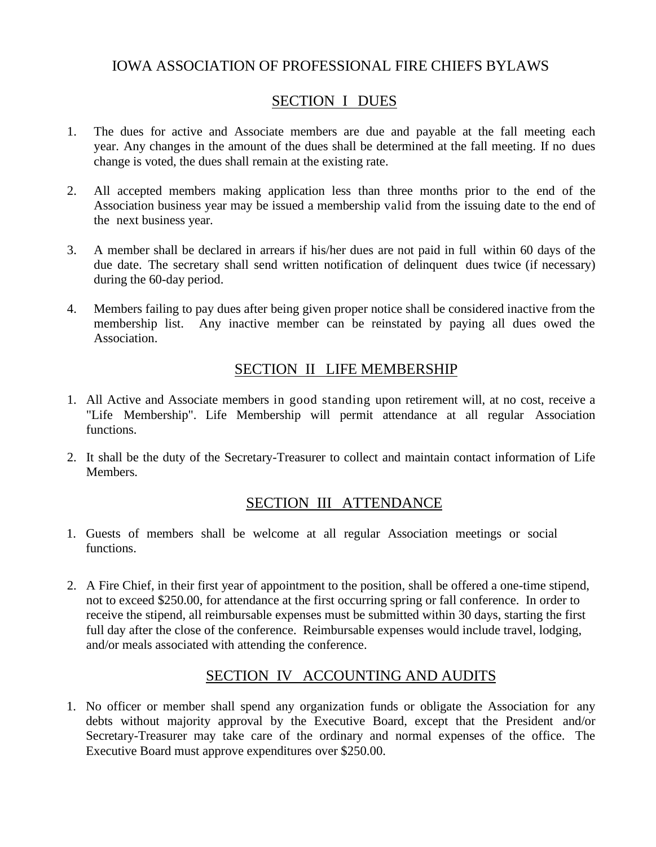## IOWA ASSOCIATION OF PROFESSIONAL FIRE CHIEFS BYLAWS

## SECTION I DUES

- 1. The dues for active and Associate members are due and payable at the fall meeting each year. Any changes in the amount of the dues shall be determined at the fall meeting. If no dues change is voted, the dues shall remain at the existing rate.
- 2. All accepted members making application less than three months prior to the end of the Association business year may be issued a membership valid from the issuing date to the end of the next business year.
- 3. A member shall be declared in arrears if his/her dues are not paid in full within 60 days of the due date. The secretary shall send written notification of delinquent dues twice (if necessary) during the 60-day period.
- 4. Members failing to pay dues after being given proper notice shall be considered inactive from the membership list. Any inactive member can be reinstated by paying all dues owed the Association.

## SECTION II LIFE MEMBERSHIP

- 1. All Active and Associate members in good standing upon retirement will, at no cost, receive a "Life Membership". Life Membership will permit attendance at all regular Association functions.
- 2. It shall be the duty of the Secretary-Treasurer to collect and maintain contact information of Life **Members**

## SECTION III ATTENDANCE

- 1. Guests of members shall be welcome at all regular Association meetings or social functions.
- 2. A Fire Chief, in their first year of appointment to the position, shall be offered a one-time stipend, not to exceed \$250.00, for attendance at the first occurring spring or fall conference. In order to receive the stipend, all reimbursable expenses must be submitted within 30 days, starting the first full day after the close of the conference. Reimbursable expenses would include travel, lodging, and/or meals associated with attending the conference.

## SECTION IV ACCOUNTING AND AUDITS

1. No officer or member shall spend any organization funds or obligate the Association for any debts without majority approval by the Executive Board, except that the President and/or Secretary-Treasurer may take care of the ordinary and normal expenses of the office. The Executive Board must approve expenditures over \$250.00.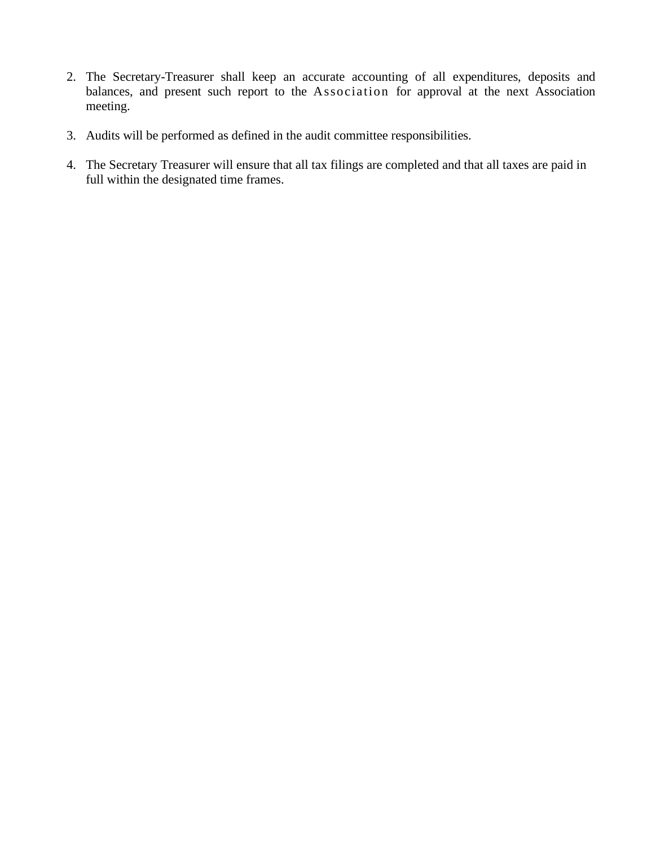- 2. The Secretary-Treasurer shall keep an accurate accounting of all expenditures, deposits and balances, and present such report to the Association for approval at the next Association meeting.
- 3. Audits will be performed as defined in the audit committee responsibilities.
- 4. The Secretary Treasurer will ensure that all tax filings are completed and that all taxes are paid in full within the designated time frames.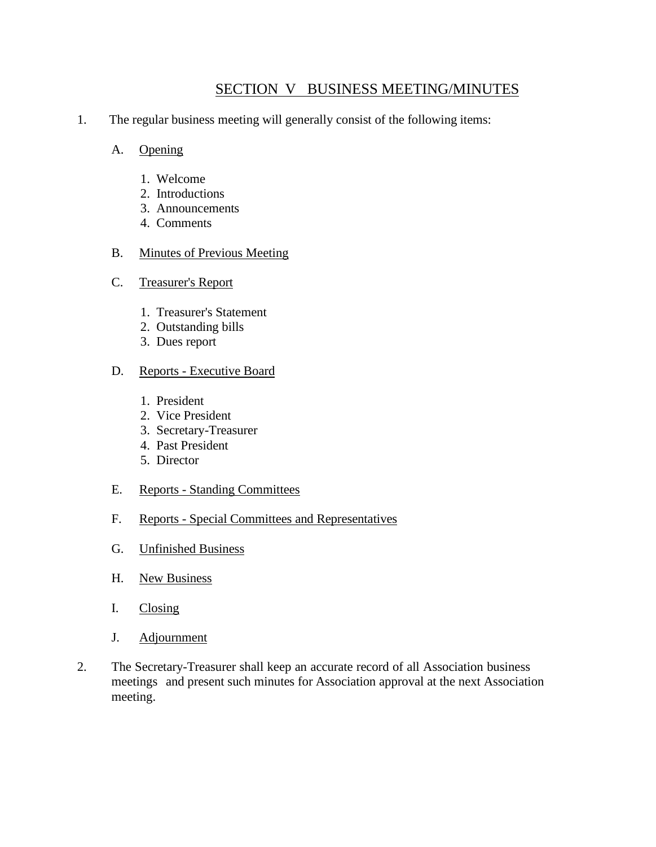## SECTION V BUSINESS MEETING/MINUTES

- 1. The regular business meeting will generally consist of the following items:
	- A. Opening
		- 1. Welcome
		- 2. Introductions
		- 3. Announcements
		- 4. Comments

#### B. Minutes of Previous Meeting

- C. Treasurer's Report
	- 1. Treasurer's Statement
	- 2. Outstanding bills
	- 3. Dues report

#### D. Reports - Executive Board

- 1. President
- 2. Vice President
- 3. Secretary-Treasurer
- 4. Past President
- 5. Director
- E. Reports Standing Committees
- F. Reports Special Committees and Representatives
- G. Unfinished Business
- H. New Business
- I. Closing
- J. Adjournment
- 2. The Secretary-Treasurer shall keep an accurate record of all Association business meetings and present such minutes for Association approval at the next Association meeting.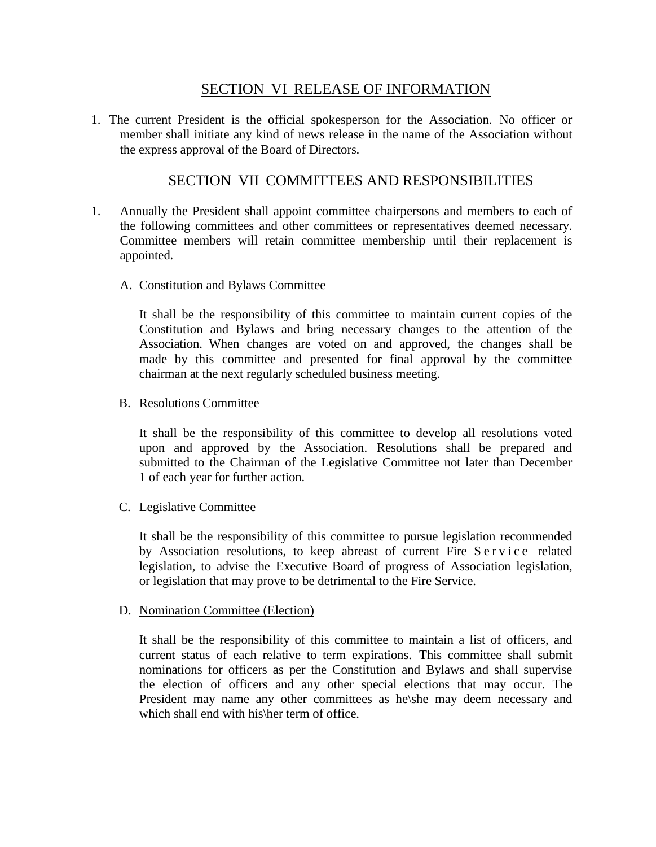### SECTION VI RELEASE OF INFORMATION

1. The current President is the official spokesperson for the Association. No officer or member shall initiate any kind of news release in the name of the Association without the express approval of the Board of Directors.

### SECTION VII COMMITTEES AND RESPONSIBILITIES

1. Annually the President shall appoint committee chairpersons and members to each of the following committees and other committees or representatives deemed necessary. Committee members will retain committee membership until their replacement is appointed.

#### A. Constitution and Bylaws Committee

It shall be the responsibility of this committee to maintain current copies of the Constitution and Bylaws and bring necessary changes to the attention of the Association. When changes are voted on and approved, the changes shall be made by this committee and presented for final approval by the committee chairman at the next regularly scheduled business meeting.

#### B. Resolutions Committee

It shall be the responsibility of this committee to develop all resolutions voted upon and approved by the Association. Resolutions shall be prepared and submitted to the Chairman of the Legislative Committee not later than December 1 of each year for further action.

### C. Legislative Committee

It shall be the responsibility of this committee to pursue legislation recommended by Association resolutions, to keep abreast of current Fire Service related legislation, to advise the Executive Board of progress of Association legislation, or legislation that may prove to be detrimental to the Fire Service.

#### D. Nomination Committee (Election)

It shall be the responsibility of this committee to maintain a list of officers, and current status of each relative to term expirations. This committee shall submit nominations for officers as per the Constitution and Bylaws and shall supervise the election of officers and any other special elections that may occur. The President may name any other committees as he\she may deem necessary and which shall end with his\her term of office.